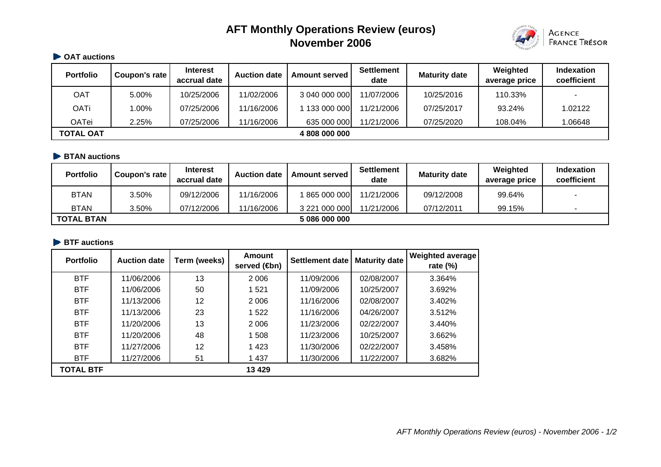# **AFT Monthly Operations Review (euros) November 2006**



## **CAT auctions**

| <b>Portfolio</b> | Coupon's rate | <b>Interest</b><br>accrual date | <b>Auction date</b> | <b>Amount served</b> | <b>Settlement</b><br>date | <b>Maturity date</b> | Weighted<br>average price | <b>Indexation</b><br>coefficient |
|------------------|---------------|---------------------------------|---------------------|----------------------|---------------------------|----------------------|---------------------------|----------------------------------|
| OAT              | 5.00%         | 10/25/2006                      | 11/02/2006          | 3 040 000 000        | 11/07/2006                | 10/25/2016           | 110.33%                   |                                  |
| <b>OATi</b>      | 1.00%         | 07/25/2006                      | 11/16/2006          | 133 000 000          | 11/21/2006                | 07/25/2017           | 93.24%                    | 1.02122                          |
| OATei            | 2.25%         | 07/25/2006                      | 11/16/2006          | 635 000 000          | 11/21/2006                | 07/25/2020           | 108.04%                   | 1.06648                          |
| <b>TOTAL OAT</b> | 4 808 000 000 |                                 |                     |                      |                           |                      |                           |                                  |

## **BTAN auctions**

| <b>Portfolio</b>  | Coupon's rate | <b>Interest</b><br>accrual date | <b>Auction date</b> | <b>Amount served</b> | <b>Settlement</b><br>date | <b>Maturity date</b> | Weighted<br>average price | <b>Indexation</b><br>coefficient |
|-------------------|---------------|---------------------------------|---------------------|----------------------|---------------------------|----------------------|---------------------------|----------------------------------|
| <b>BTAN</b>       | 3.50%         | 09/12/2006                      | 11/16/2006          | 865 000 000          | 11/21/2006                | 09/12/2008           | 99.64%                    |                                  |
| <b>BTAN</b>       | 3.50%         | 07/12/2006                      | 11/16/2006          | 3 221 000 000        | 11/21/2006                | 07/12/2011           | 99.15%                    |                                  |
| <b>TOTAL BTAN</b> |               |                                 |                     | 5 086 000 000        |                           |                      |                           |                                  |

#### **BTF auctions**

| <b>Portfolio</b> | <b>Auction date</b> | Term (weeks) | <b>Amount</b><br>served ( <b>⊕</b> n) | <b>Settlement date</b> | <b>Maturity date</b> | <b>Weighted average</b><br>rate (%) |
|------------------|---------------------|--------------|---------------------------------------|------------------------|----------------------|-------------------------------------|
| <b>BTF</b>       | 11/06/2006          | 13           | 2 0 0 6                               | 11/09/2006             | 02/08/2007           | 3.364%                              |
| <b>BTF</b>       | 11/06/2006          | 50           | 1521                                  | 11/09/2006             | 10/25/2007           | 3.692%                              |
| <b>BTF</b>       | 11/13/2006          | 12           | 2 0 0 6                               | 11/16/2006             | 02/08/2007           | 3.402%                              |
| <b>BTF</b>       | 11/13/2006          | 23           | 1522                                  | 11/16/2006             | 04/26/2007           | 3.512%                              |
| <b>BTF</b>       | 11/20/2006          | 13           | 2 0 0 6                               | 11/23/2006             | 02/22/2007           | 3.440%                              |
| <b>BTF</b>       | 11/20/2006          | 48           | 1 508                                 | 11/23/2006             | 10/25/2007           | 3.662%                              |
| <b>BTF</b>       | 11/27/2006          | 12           | 1423                                  | 11/30/2006             | 02/22/2007           | 3.458%                              |
| <b>BTF</b>       | 11/27/2006          | 51           | 1 4 3 7                               | 11/30/2006             | 11/22/2007           | 3.682%                              |
| <b>TOTAL BTF</b> |                     |              | 13 4 29                               |                        |                      |                                     |